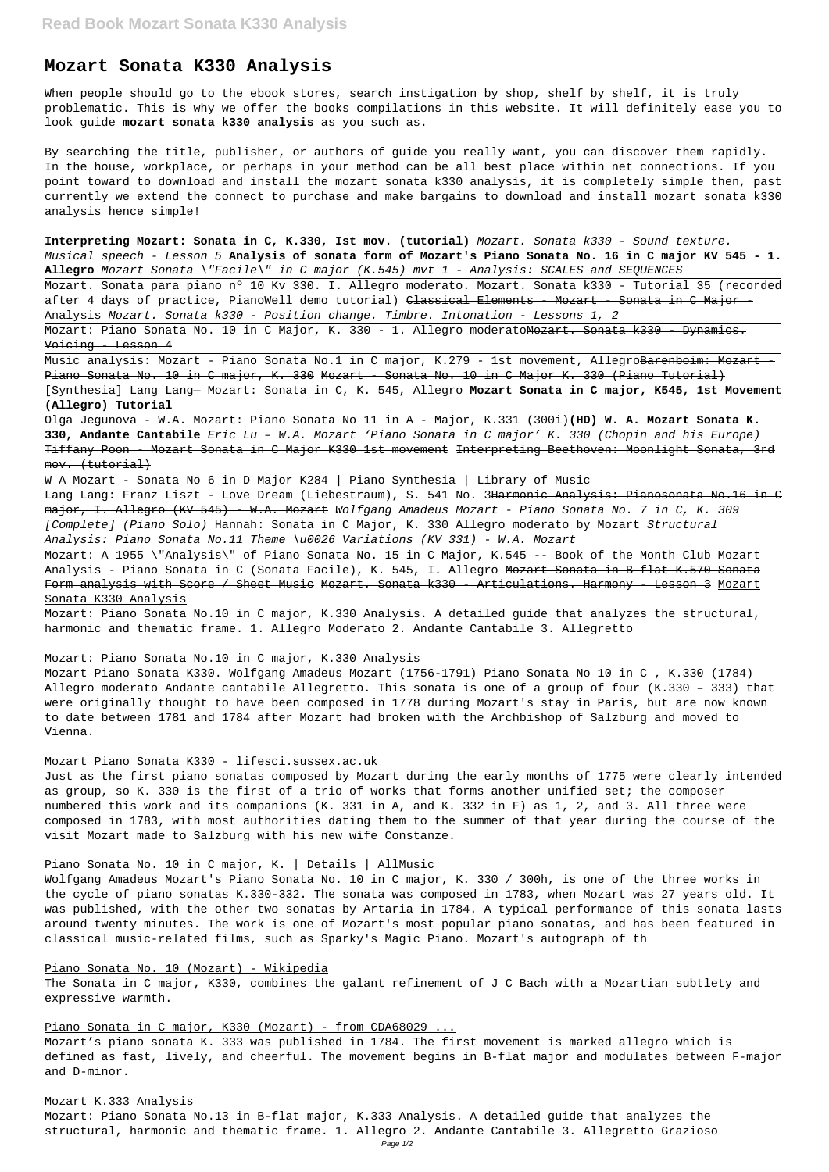# **Mozart Sonata K330 Analysis**

When people should go to the ebook stores, search instigation by shop, shelf by shelf, it is truly problematic. This is why we offer the books compilations in this website. It will definitely ease you to look guide **mozart sonata k330 analysis** as you such as.

Mozart. Sonata para piano nº 10 Kv 330. I. Allegro moderato. Mozart. Sonata k330 - Tutorial 35 (recorded after 4 days of practice, PianoWell demo tutorial) <del>Classical Elements - Mozart - Sonata in C Major -</del> Analysis Mozart. Sonata k330 - Position change. Timbre. Intonation - Lessons 1, 2

By searching the title, publisher, or authors of guide you really want, you can discover them rapidly. In the house, workplace, or perhaps in your method can be all best place within net connections. If you point toward to download and install the mozart sonata k330 analysis, it is completely simple then, past currently we extend the connect to purchase and make bargains to download and install mozart sonata k330 analysis hence simple!

Mozart: Piano Sonata No. 10 in C Major, K. 330 - 1. Allegro moderato<del>Mozart. Sonata k330 - Dynamics.</del> Voicing - Lesson 4

Music analysis: Mozart - Piano Sonata No.1 in C major, K.279 - 1st movement, Allegro<del>Barenboim: Mozart -</del> Piano Sonata No. 10 in C major, K. 330 Mozart - Sonata No. 10 in C Major K. 330 (Piano Tutorial) [Synthesia] Lang Lang— Mozart: Sonata in C, K. 545, Allegro **Mozart Sonata in C major, K545, 1st Movement (Allegro) Tutorial**

**Interpreting Mozart: Sonata in C, K.330, Ist mov. (tutorial)** Mozart. Sonata k330 - Sound texture. Musical speech - Lesson 5 **Analysis of sonata form of Mozart's Piano Sonata No. 16 in C major KV 545 - 1. Allegro** Mozart Sonata \"Facile\" in C major (K.545) mvt 1 - Analysis: SCALES and SEQUENCES

Olga Jegunova - W.A. Mozart: Piano Sonata No 11 in A - Major, K.331 (300i)**(HD) W. A. Mozart Sonata K. 330, Andante Cantabile** Eric Lu – W.A. Mozart 'Piano Sonata in C major' K. 330 (Chopin and his Europe) Tiffany Poon - Mozart Sonata in C Major K330 1st movement Interpreting Beethoven: Moonlight Sonata, 3rd mov. (tutorial)

W A Mozart - Sonata No 6 in D Major K284 | Piano Synthesia | Library of Music Lang Lang: Franz Liszt - Love Dream (Liebestraum), S. 541 No. 3<del>Harmonic Analysis: Pianosonata No.16 in C</del> major, I. Allegro (KV 545) - W.A. Mozart Wolfgang Amadeus Mozart - Piano Sonata No. 7 in C, K. 309 [Complete] (Piano Solo) Hannah: Sonata in C Major, K. 330 Allegro moderato by Mozart Structural Analysis: Piano Sonata No.11 Theme \u0026 Variations (KV 331) - W.A. Mozart

Mozart: A 1955 \"Analysis\" of Piano Sonata No. 15 in C Major, K.545 -- Book of the Month Club Mozart Analysis - Piano Sonata in C (Sonata Facile), K. 545, I. Allegro Mozart Sonata in B flat K.570 Sonata Form analysis with Score / Sheet Music Mozart. Sonata k330 - Articulations. Harmony - Lesson 3 Mozart Sonata K330 Analysis

Mozart: Piano Sonata No.10 in C major, K.330 Analysis. A detailed guide that analyzes the structural, harmonic and thematic frame. 1. Allegro Moderato 2. Andante Cantabile 3. Allegretto

### Mozart: Piano Sonata No.10 in C major, K.330 Analysis

Mozart Piano Sonata K330. Wolfgang Amadeus Mozart (1756-1791) Piano Sonata No 10 in C , K.330 (1784) Allegro moderato Andante cantabile Allegretto. This sonata is one of a group of four (K.330 – 333) that were originally thought to have been composed in 1778 during Mozart's stay in Paris, but are now known to date between 1781 and 1784 after Mozart had broken with the Archbishop of Salzburg and moved to Vienna.

# Mozart Piano Sonata K330 - lifesci.sussex.ac.uk

Just as the first piano sonatas composed by Mozart during the early months of 1775 were clearly intended as group, so K. 330 is the first of a trio of works that forms another unified set; the composer numbered this work and its companions (K. 331 in A, and K. 332 in F) as 1, 2, and 3. All three were composed in 1783, with most authorities dating them to the summer of that year during the course of the visit Mozart made to Salzburg with his new wife Constanze.

### Piano Sonata No. 10 in C major, K. | Details | AllMusic

Wolfgang Amadeus Mozart's Piano Sonata No. 10 in C major, K. 330 / 300h, is one of the three works in

the cycle of piano sonatas K.330-332. The sonata was composed in 1783, when Mozart was 27 years old. It was published, with the other two sonatas by Artaria in 1784. A typical performance of this sonata lasts around twenty minutes. The work is one of Mozart's most popular piano sonatas, and has been featured in classical music-related films, such as Sparky's Magic Piano. Mozart's autograph of th

## Piano Sonata No. 10 (Mozart) - Wikipedia

The Sonata in C major, K330, combines the galant refinement of J C Bach with a Mozartian subtlety and expressive warmth.

### Piano Sonata in C major, K330 (Mozart) - from CDA68029 ...

Mozart's piano sonata K. 333 was published in 1784. The first movement is marked allegro which is defined as fast, lively, and cheerful. The movement begins in B-flat major and modulates between F-major and D-minor.

#### Mozart K.333 Analysis

Mozart: Piano Sonata No.13 in B-flat major, K.333 Analysis. A detailed guide that analyzes the structural, harmonic and thematic frame. 1. Allegro 2. Andante Cantabile 3. Allegretto Grazioso Page 1/2